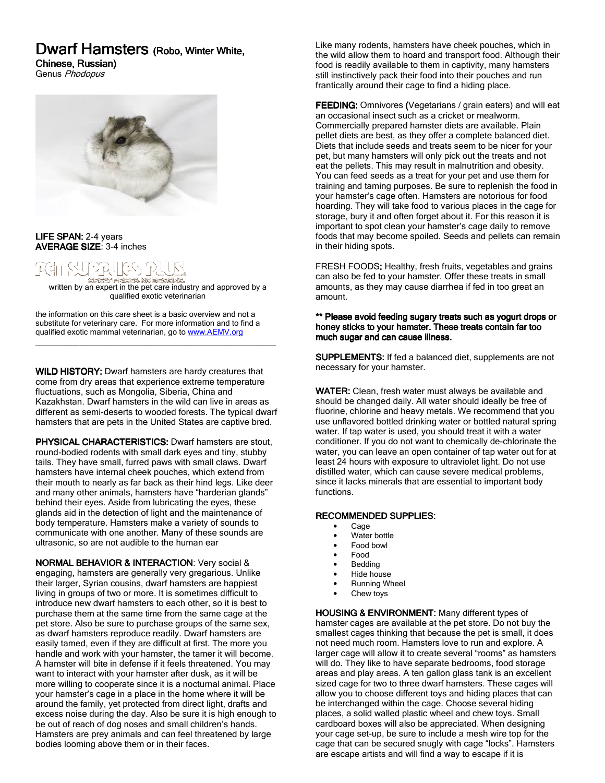# Dwarf Hamsters (Robo, Winter White,

Chinese, Russian)

Genus Phodopus



LIFE SPAN: 2-4 years AVERAGE SIZE: 3-4 inches

## <u> VA HES PU</u> SRESPERSEN NORFACNA.

**CHA WAREA WAREART IN A PROPERT IN A PROPERT IN EXPRESS AND READ TO A PROPERTY**<br>Written by an expert in the pet care industry and approved by a qualified exotic veterinarian

\_\_\_\_\_\_\_\_\_\_\_\_\_\_\_\_\_\_\_\_\_\_\_\_\_\_\_\_\_\_\_\_\_\_\_\_\_\_\_\_\_\_\_\_\_\_\_\_\_

the information on this care sheet is a basic overview and not a substitute for veterinary care. For more information and to find a qualified exotic mammal veterinarian, go to www.AEMV.org

WILD HISTORY: Dwarf hamsters are hardy creatures that come from dry areas that experience extreme temperature fluctuations, such as Mongolia, Siberia, China and Kazakhstan. Dwarf hamsters in the wild can live in areas as different as semi-deserts to wooded forests. The typical dwarf hamsters that are pets in the United States are captive bred.

PHYSICAL CHARACTERISTICS: Dwarf hamsters are stout, round-bodied rodents with small dark eyes and tiny, stubby tails. They have small, furred paws with small claws. Dwarf hamsters have internal cheek pouches, which extend from their mouth to nearly as far back as their hind legs. Like deer and many other animals, hamsters have "harderian glands" behind their eyes. Aside from lubricating the eyes, these glands aid in the detection of light and the maintenance of body temperature. Hamsters make a variety of sounds to communicate with one another. Many of these sounds are ultrasonic, so are not audible to the human ear

NORMAL BEHAVIOR & INTERACTION: Very social & engaging, hamsters are generally very gregarious. Unlike their larger, Syrian cousins, dwarf hamsters are happiest living in groups of two or more. It is sometimes difficult to introduce new dwarf hamsters to each other, so it is best to purchase them at the same time from the same cage at the pet store. Also be sure to purchase groups of the same sex, as dwarf hamsters reproduce readily. Dwarf hamsters are easily tamed, even if they are difficult at first. The more you handle and work with your hamster, the tamer it will become. A hamster will bite in defense if it feels threatened. You may want to interact with your hamster after dusk, as it will be more willing to cooperate since it is a nocturnal animal. Place your hamster's cage in a place in the home where it will be around the family, yet protected from direct light, drafts and excess noise during the day. Also be sure it is high enough to be out of reach of dog noses and small children's hands. Hamsters are prey animals and can feel threatened by large bodies looming above them or in their faces.

Like many rodents, hamsters have cheek pouches, which in the wild allow them to hoard and transport food. Although their food is readily available to them in captivity, many hamsters still instinctively pack their food into their pouches and run frantically around their cage to find a hiding place.

FEEDING: Omnivores (Vegetarians / grain eaters) and will eat an occasional insect such as a cricket or mealworm. Commercially prepared hamster diets are available. Plain pellet diets are best, as they offer a complete balanced diet. Diets that include seeds and treats seem to be nicer for your pet, but many hamsters will only pick out the treats and not eat the pellets. This may result in malnutrition and obesity. You can feed seeds as a treat for your pet and use them for training and taming purposes. Be sure to replenish the food in your hamster's cage often. Hamsters are notorious for food hoarding. They will take food to various places in the cage for storage, bury it and often forget about it. For this reason it is important to spot clean your hamster's cage daily to remove foods that may become spoiled. Seeds and pellets can remain in their hiding spots.

FRESH FOODS: Healthy, fresh fruits, vegetables and grains can also be fed to your hamster. Offer these treats in small amounts, as they may cause diarrhea if fed in too great an amount.

#### \*\* Please avoid feeding sugary treats such as yogurt drops or honey sticks to your hamster. These treats contain far too much sugar and can cause illness.

SUPPLEMENTS: If fed a balanced diet, supplements are not necessary for your hamster.

WATER: Clean, fresh water must always be available and should be changed daily. All water should ideally be free of fluorine, chlorine and heavy metals. We recommend that you use unflavored bottled drinking water or bottled natural spring water. If tap water is used, you should treat it with a water conditioner. If you do not want to chemically de-chlorinate the water, you can leave an open container of tap water out for at least 24 hours with exposure to ultraviolet light. Do not use distilled water, which can cause severe medical problems, since it lacks minerals that are essential to important body functions.

# RECOMMENDED SUPPLIES:

- Cage
- Water bottle
- Food bowl
- Food
- **Bedding**
- Hide house
- Running Wheel
- Chew toys

HOUSING & ENVIRONMENT: Many different types of hamster cages are available at the pet store. Do not buy the smallest cages thinking that because the pet is small, it does not need much room. Hamsters love to run and explore. A larger cage will allow it to create several "rooms" as hamsters will do. They like to have separate bedrooms, food storage areas and play areas. A ten gallon glass tank is an excellent sized cage for two to three dwarf hamsters. These cages will allow you to choose different toys and hiding places that can be interchanged within the cage. Choose several hiding places, a solid walled plastic wheel and chew toys. Small cardboard boxes will also be appreciated. When designing your cage set-up, be sure to include a mesh wire top for the cage that can be secured snugly with cage "locks". Hamsters are escape artists and will find a way to escape if it is